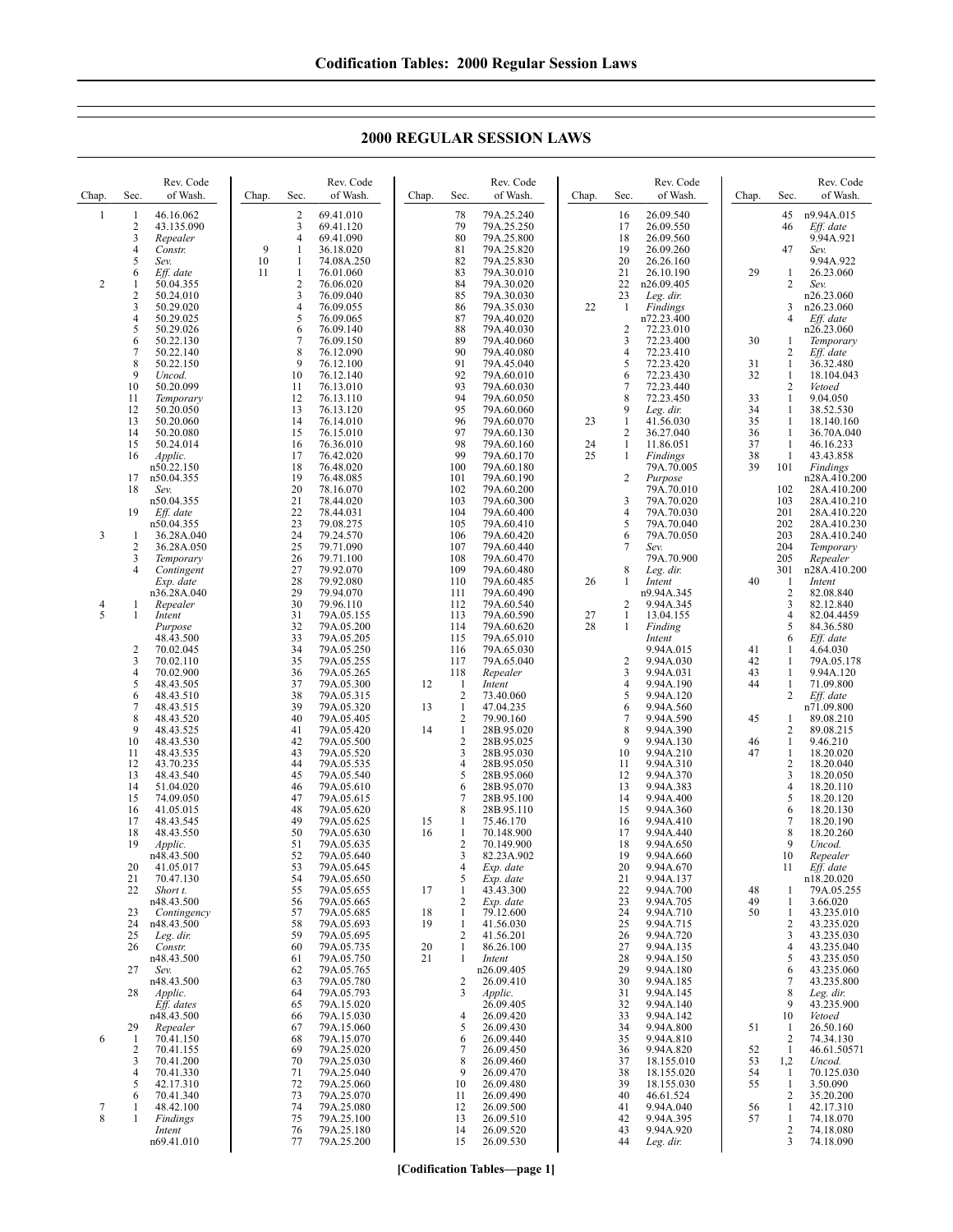**2000 REGULAR SESSION LAWS**

| Chap.        | Rev. Code<br>Sec.<br>of Wash.                                                             | Chap.    | Rev. Code<br>Sec.<br>of Wash.                                                                                     | Chap.          | Sec.                                                       | Rev. Code<br>of Wash.                                              | Chap.          | Sec.                                          | Rev. Code<br>of Wash.                                           | Chap.                      | Sec.                                                     | Rev. Code<br>of Wash.                                              |
|--------------|-------------------------------------------------------------------------------------------|----------|-------------------------------------------------------------------------------------------------------------------|----------------|------------------------------------------------------------|--------------------------------------------------------------------|----------------|-----------------------------------------------|-----------------------------------------------------------------|----------------------------|----------------------------------------------------------|--------------------------------------------------------------------|
| $\mathbf{1}$ | 46.16.062<br>1<br>2<br>43.135.090<br>3<br>Repealer<br>4<br>Constr.                        | 9        | $\overline{c}$<br>69.41.010<br>3<br>69.41.120<br>$\overline{4}$<br>69.41.090<br>1<br>36.18.020                    |                | 78<br>79<br>80<br>81                                       | 79A.25.240<br>79A.25.250<br>79A.25.800<br>79A.25.820               |                | 16<br>17<br>18<br>19                          | 26.09.540<br>26.09.550<br>26.09.560<br>26.09.260                |                            | 45<br>46<br>47                                           | n9.94A.015<br>Eff. date<br>9.94A.921<br>Sev.                       |
| 2            | 5<br>Sev.<br>Eff. date<br>6<br>50.04.355<br>1<br>$\overline{c}$<br>50.24.010<br>3         | 10<br>11 | 1<br>74.08A.250<br>1<br>76.01.060<br>$\overline{c}$<br>76.06.020<br>3<br>76.09.040<br>$\overline{4}$<br>76.09.055 |                | 82<br>83<br>84<br>85<br>86                                 | 79A.25.830<br>79A.30.010<br>79A.30.020<br>79A.30.030               | 22             | 20<br>21<br>22<br>23<br>-1                    | 26.26.160<br>26.10.190<br>n26.09.405<br>Leg. dir.               | 29                         | 1<br>2                                                   | 9.94A.922<br>26.23.060<br>Sev.<br>n26.23.060<br>n26.23.060         |
|              | 50.29.020<br>4<br>50.29.025<br>5<br>50.29.026<br>50.22.130<br>6<br>7<br>50.22.140         |          | 5<br>76.09.065<br>6<br>76.09.140<br>7<br>76.09.150<br>8<br>76.12.090                                              |                | 87<br>88<br>89<br>90                                       | 79A.35.030<br>79A.40.020<br>79A.40.030<br>79A.40.060<br>79A.40.080 |                | $\overline{2}$<br>3<br>$\overline{4}$         | Findings<br>n72.23.400<br>72.23.010<br>72.23.400<br>72.23.410   | 30                         | 3<br>$\overline{4}$<br>1<br>2                            | Eff. date<br>n26.23.060<br>Temporary<br>Eff. date                  |
|              | 8<br>50.22.150<br>9<br>Uncod.<br>50.20.099<br>10<br>11<br>Temporary                       |          | 9<br>76.12.100<br>10<br>76.12.140<br>11<br>76.13.010<br>12<br>76.13.110                                           |                | 91<br>92<br>93<br>94                                       | 79A.45.040<br>79A.60.010<br>79A.60.030<br>79A.60.050               |                | 5<br>6<br>7<br>8                              | 72.23.420<br>72.23.430<br>72.23.440<br>72.23.450                | 31<br>32<br>33             | 1<br>1<br>2<br>$\mathbf{1}$                              | 36.32.480<br>18.104.043<br>Vetoed<br>9.04.050                      |
|              | 12<br>50.20.050<br>13<br>50.20.060<br>14<br>50.20.080<br>15<br>50.24.014<br>16            |          | 13<br>76.13.120<br>14<br>76.14.010<br>15<br>76.15.010<br>16<br>76.36.010<br>17                                    |                | 95<br>96<br>97<br>98<br>99                                 | 79A.60.060<br>79A.60.070<br>79A.60.130<br>79A.60.160               | 23<br>24<br>25 | 9<br>1<br>$\overline{2}$<br>$\mathbf{1}$<br>1 | Leg. dir.<br>41.56.030<br>36.27.040<br>11.86.051                | 34<br>35<br>36<br>37<br>38 | 1<br>1<br>1<br>1<br>1                                    | 38.52.530<br>18.140.160<br>36.70A.040<br>46.16.233<br>43.43.858    |
|              | Applic.<br>n50.22.150<br>n50.04.355<br>17<br>18<br>Sev.<br>n50.04.355                     |          | 76.42.020<br>18<br>76.48.020<br>19<br>76.48.085<br>20<br>78.16.070<br>21<br>78.44.020                             |                | 100<br>101<br>102<br>103                                   | 79A.60.170<br>79A.60.180<br>79A.60.190<br>79A.60.200<br>79A.60.300 |                | $\overline{2}$<br>3                           | Findings<br>79A.70.005<br>Purpose<br>79A.70.010<br>79A.70.020   | 39                         | 101<br>102<br>103                                        | Findings<br>n28A.410.200<br>28A.410.200<br>28A.410.210             |
| 3            | 19<br>Eff. date<br>n50.04.355<br>1<br>36.28A.040<br>2<br>36.28A.050                       |          | 22<br>78.44.031<br>23<br>79.08.275<br>24<br>79.24.570<br>25<br>79.71.090                                          |                | 104<br>105<br>106<br>107                                   | 79A.60.400<br>79A.60.410<br>79A.60.420<br>79A.60.440               |                | 4<br>5<br>6<br>$\overline{7}$                 | 79A.70.030<br>79A.70.040<br>79A.70.050<br>Sev.                  |                            | 201<br>202<br>203<br>204                                 | 28A.410.220<br>28A.410.230<br>28A.410.240<br>Temporary             |
| 4            | 3<br>Temporary<br>4<br>Contingent<br>Exp. date<br>n36.28A.040<br>Repealer<br>1            |          | 26<br>79.71.100<br>27<br>79.92.070<br>28<br>79.92.080<br>29<br>79.94.070<br>30<br>79.96.110                       |                | 108<br>109<br>110<br>111<br>112                            | 79A.60.470<br>79A.60.480<br>79A.60.485<br>79A.60.490<br>79A.60.540 | 26             | 8<br>1<br>$\overline{2}$                      | 79A.70.900<br>Leg. dir.<br>Intent<br>n9.94A.345<br>9.94A.345    | 40                         | 205<br>301<br>1<br>2<br>3                                | Repealer<br>n28A.410.200<br>Intent<br>82.08.840<br>82.12.840       |
| 5            | 1<br>Intent<br>Purpose<br>48.43.500<br>$\overline{c}$<br>70.02.045<br>3<br>70.02.110      |          | 31<br>79A.05.155<br>32<br>79A.05.200<br>33<br>79A.05.205<br>34<br>79A.05.250<br>35<br>79A.05.255                  |                | 113<br>114<br>115<br>116<br>117                            | 79A.60.590<br>79A.60.620<br>79A.65.010<br>79A.65.030<br>79A.65.040 | 27<br>28       | 1<br>1<br>$\overline{2}$                      | 13.04.155<br>Finding<br>Intent<br>9.94A.015<br>9.94A.030        | 41<br>42                   | $\overline{4}$<br>5<br>6<br>1<br>1                       | 82.04.4459<br>84.36.580<br>Eff. date<br>4.64.030                   |
|              | 4<br>70.02.900<br>5<br>48.43.505<br>6<br>48.43.510<br>7<br>48.43.515                      |          | 36<br>79A.05.265<br>37<br>79A.05.300<br>38<br>79A.05.315<br>39<br>79A.05.320                                      | 12<br>13       | 118<br>-1<br>$\overline{2}$<br>$\mathbf{1}$                | Repealer<br>Intent<br>73.40.060<br>47.04.235                       |                | 3<br>$\overline{4}$<br>5<br>6                 | 9.94A.031<br>9.94A.190<br>9.94A.120<br>9.94A.560                | 43<br>44                   | 1<br>1<br>2                                              | 79A.05.178<br>9.94A.120<br>71.09.800<br>Eff. date<br>n71.09.800    |
|              | 8<br>48.43.520<br>9<br>48.43.525<br>10<br>48.43.530<br>11<br>48.43.535<br>12<br>43.70.235 |          | 40<br>79A.05.405<br>41<br>79A.05.420<br>42<br>79A.05.500<br>43<br>79A.05.520<br>44<br>79A.05.535                  | 14             | $\overline{c}$<br>$\mathbf{1}$<br>$\overline{c}$<br>3<br>4 | 79.90.160<br>28B.95.020<br>28B.95.025<br>28B.95.030<br>28B.95.050  |                | 7<br>8<br>9<br>10<br>11                       | 9.94A.590<br>9.94A.390<br>9.94A.130<br>9.94A.210<br>9.94A.310   | 45<br>46<br>47             | 1<br>2<br>1<br>1<br>2                                    | 89.08.210<br>89.08.215<br>9.46.210<br>18.20.020<br>18.20.040       |
|              | 13<br>48.43.540<br>14<br>51.04.020<br>15<br>74.09.050<br>16<br>41.05.015                  |          | 45<br>79A.05.540<br>46<br>79A.05.610<br>47<br>79A.05.615<br>48<br>79A.05.620                                      |                | 5<br>6<br>7<br>8                                           | 28B.95.060<br>28B.95.070<br>28B.95.100<br>28B.95.110               |                | 12<br>13<br>14<br>15                          | 9.94A.370<br>9.94A.383<br>9.94A.400<br>9.94A.360                |                            | 3<br>$\overline{4}$<br>5<br>6                            | 18.20.050<br>18.20.110<br>18.20.120<br>18.20.130                   |
|              | 17<br>48.43.545<br>18<br>48.43.550<br>19<br>Applic.<br>n48.43.500<br>41.05.017<br>20      |          | 49<br>79A.05.625<br>50<br>79A.05.630<br>51<br>79A.05.635<br>52<br>79A.05.640<br>53<br>79A.05.645                  | 15<br>16       | 1<br>$\mathbf{1}$<br>$\overline{2}$<br>3<br>4              | 75.46.170<br>70.148.900<br>70.149.900<br>82.23A.902<br>Exp. date   |                | 16<br>17<br>18<br>19<br>20                    | 9.94A.410<br>9.94A.440<br>9.94A.650<br>9.94A.660<br>9.94A.670   |                            | $\overline{7}$<br>8<br>9<br>10<br>11                     | 18.20.190<br>18.20.260<br>Uncod.<br>Repealer<br>Eff. date          |
|              | 21<br>70.47.130<br>22<br>Short t.<br>n48.43.500<br>Contingency<br>23                      |          | 54<br>79A.05.650<br>55<br>79A.05.655<br>56<br>79A.05.665<br>57<br>79A.05.685                                      | 17<br>18       | 5<br>1<br>$\overline{2}$<br>1                              | Exp. date<br>43.43.300<br>Exp. date<br>79.12.600                   |                | 21<br>22<br>23<br>24                          | 9.94A.137<br>9.94A.700<br>9.94A.705<br>9.94A.710                | 48<br>49<br>50             | 1<br>1<br>$\mathbf{1}$                                   | n18.20.020<br>79A.05.255<br>3.66.020<br>43.235.010                 |
|              | 24<br>n48.43.500<br>25<br>Leg. dir.<br>26<br>Constr.<br>n48.43.500<br>27<br>Sev.          |          | 58<br>79A.05.693<br>59<br>79A.05.695<br>60<br>79A.05.735<br>79A.05.750<br>61<br>62<br>79A.05.765                  | 19<br>20<br>21 | $\mathbf{1}$<br>$\overline{c}$<br>1<br>$\mathbf{1}$        | 41.56.030<br>41.56.201<br>86.26.100<br>Intent<br>n26.09.405        |                | 25<br>26<br>27<br>28<br>29                    | 9.94A.715<br>9.94A.720<br>9.94A.135<br>9.94A.150<br>9.94A.180   |                            | 2<br>3<br>4<br>5<br>6                                    | 43.235.020<br>43.235.030<br>43.235.040<br>43.235.050<br>43.235.060 |
|              | n48.43.500<br>28<br>Applic.<br>Eff. dates<br>n48.43.500                                   |          | 79A.05.780<br>63<br>64<br>79A.05.793<br>79A.15.020<br>65<br>66<br>79A.15.030                                      |                | $\overline{2}$<br>3<br>4                                   | 26.09.410<br>Applic.<br>26.09.405<br>26.09.420                     |                | 30<br>31<br>32<br>33                          | 9.94A.185<br>9.94A.145<br>9.94A.140<br>9.94A.142                |                            | $\tau$<br>8<br>9<br>10                                   | 43.235.800<br>Leg. dir.<br>43.235.900<br>Vetoed                    |
| 6            | 29<br>Repealer<br>70.41.150<br>-1<br>2<br>70.41.155<br>3<br>70.41.200<br>70.41.330<br>4   |          | 79A.15.060<br>67<br>68<br>79A.15.070<br>79A.25.020<br>69<br>70<br>79A.25.030<br>71<br>79A.25.040                  |                | 5<br>6<br>7<br>8<br>9                                      | 26.09.430<br>26.09.440<br>26.09.450<br>26.09.460<br>26.09.470      |                | 34<br>35<br>36<br>37<br>38                    | 9.94A.800<br>9.94A.810<br>9.94A.820<br>18.155.010<br>18.155.020 | 51<br>52<br>53<br>54       | 1<br>2<br>1<br>1,2<br>1                                  | 26.50.160<br>74.34.130<br>46.61.50571<br>Uncod.<br>70.125.030      |
| 7<br>8       | 5<br>42.17.310<br>6<br>70.41.340<br>48.42.100<br>1<br>Findings<br>1                       |          | 72<br>79A.25.060<br>73<br>79A.25.070<br>74<br>79A.25.080<br>75<br>79A.25.100                                      |                | 10<br>11<br>12<br>13                                       | 26.09.480<br>26.09.490<br>26.09.500<br>26.09.510                   |                | 39<br>40<br>41<br>42                          | 18.155.030<br>46.61.524<br>9.94A.040<br>9.94A.395               | 55<br>56<br>57             | $\mathbf{1}$<br>2<br>1<br>$\mathbf{1}$<br>$\overline{c}$ | 3.50.090<br>35.20.200<br>42.17.310<br>74.18.070<br>74.18.080       |
|              | Intent<br>n69.41.010                                                                      |          | 76<br>79A.25.180<br>77<br>79A.25.200                                                                              |                | 14<br>15                                                   | 26.09.520<br>26.09.530                                             |                | 43<br>44                                      | 9.94A.920<br>Leg. dir.                                          |                            | 3                                                        | 74.18.090                                                          |

**[Codification Tables—page 1]**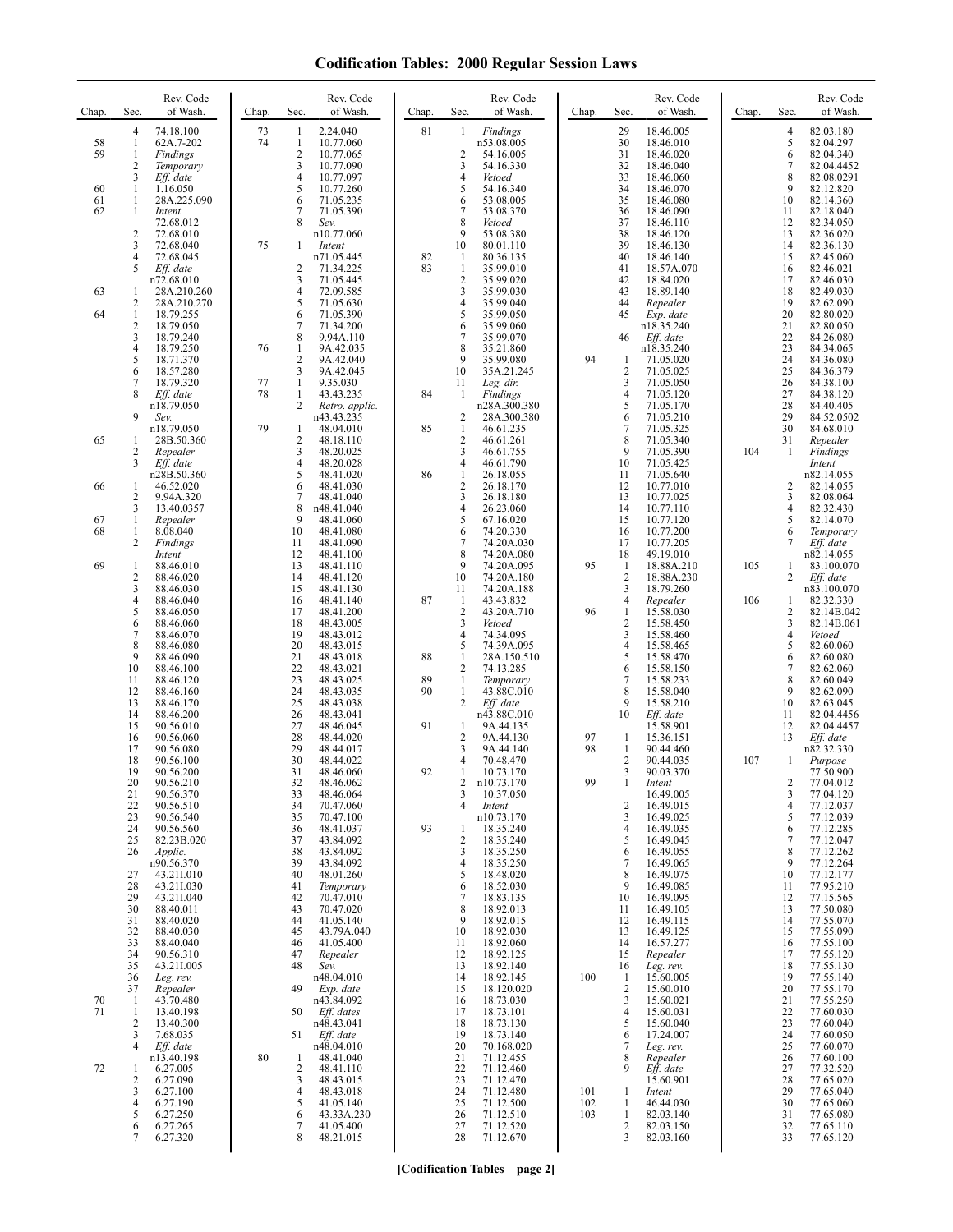| Chap.          | Sec.                                                             | Rev. Code<br>of Wash.                                           | Chap.    | Sec.                                     | Rev. Code<br>of Wash.                                              | Chap.          | Sec.                                                   | Rev. Code<br>of Wash.                                              | Chap.      | Sec.                                            | Rev. Code<br>of Wash.                                          | Chap. | Sec.                          | Rev. Code<br>of Wash.                                             |
|----------------|------------------------------------------------------------------|-----------------------------------------------------------------|----------|------------------------------------------|--------------------------------------------------------------------|----------------|--------------------------------------------------------|--------------------------------------------------------------------|------------|-------------------------------------------------|----------------------------------------------------------------|-------|-------------------------------|-------------------------------------------------------------------|
| 58<br>59       | $\overline{4}$<br>$\mathbf{1}$<br>$\mathbf{1}$<br>$\overline{2}$ | 74.18.100<br>62A.7-202<br>Findings<br>Temporary                 | 73<br>74 | 1<br>1<br>$\mathfrak{2}$<br>3            | 2.24.040<br>10.77.060<br>10.77.065<br>10.77.090                    | 81             | 1<br>2<br>3                                            | Findings<br>n53.08.005<br>54.16.005<br>54.16.330                   |            | 29<br>30<br>31<br>32                            | 18.46.005<br>18.46.010<br>18.46.020<br>18.46.040               |       | 4<br>5<br>6<br>7              | 82.03.180<br>82.04.297<br>82.04.340<br>82.04.4452                 |
| 60<br>61<br>62 | 3<br>$\mathbf{1}$<br>1<br>1                                      | Eff. date<br>1.16.050<br>28A.225.090<br>Intent                  |          | $\overline{4}$<br>5<br>6<br>7            | 10.77.097<br>10.77.260<br>71.05.235<br>71.05.390                   |                | $\overline{4}$<br>5<br>6<br>$\overline{7}$             | Vetoed<br>54.16.340<br>53.08.005<br>53.08.370                      |            | 33<br>34<br>35<br>36                            | 18.46.060<br>18.46.070<br>18.46.080<br>18.46.090               |       | 8<br>9<br>10<br>11            | 82.08.0291<br>82.12.820<br>82.14.360<br>82.18.040                 |
|                | $\overline{2}$<br>3<br>4<br>5                                    | 72.68.012<br>72.68.010<br>72.68.040<br>72.68.045<br>Eff. date   | 75       | 8<br>1<br>2                              | Sev.<br>n10.77.060<br>Intent<br>n71.05.445<br>71.34.225            | 82<br>83       | 8<br>9<br>10<br>$\mathbf{1}$<br>$\mathbf{1}$           | Vetoed<br>53.08.380<br>80.01.110<br>80.36.135<br>35.99.010         |            | 37<br>38<br>39<br>40<br>41                      | 18.46.110<br>18.46.120<br>18.46.130<br>18.46.140<br>18.57A.070 |       | 12<br>13<br>14<br>15<br>16    | 82.34.050<br>82.36.020<br>82.36.130<br>82.45.060<br>82.46.021     |
| 63<br>64       | -1<br>$\overline{2}$<br>1                                        | n72.68.010<br>28A.210.260<br>28A.210.270<br>18.79.255           |          | 3<br>$\overline{4}$<br>5<br>6            | 71.05.445<br>72.09.585<br>71.05.630<br>71.05.390                   |                | $\overline{2}$<br>3<br>$\overline{4}$<br>5             | 35.99.020<br>35.99.030<br>35.99.040<br>35.99.050                   |            | 42<br>43<br>44<br>45                            | 18.84.020<br>18.89.140<br>Repealer<br>Exp. date                |       | 17<br>18<br>19<br>20          | 82.46.030<br>82.49.030<br>82.62.090<br>82.80.020                  |
|                | $\overline{2}$<br>3<br>4<br>5                                    | 18.79.050<br>18.79.240<br>18.79.250<br>18.71.370                | 76       | 7<br>8<br>1<br>$\mathfrak{2}$            | 71.34.200<br>9.94A.110<br>9A.42.035<br>9A.42.040                   |                | 6<br>7<br>8<br>9                                       | 35.99.060<br>35.99.070<br>35.21.860<br>35.99.080                   | 94         | 46<br>1                                         | n18.35.240<br>Eff. date<br>n18.35.240<br>71.05.020             |       | 21<br>22<br>23<br>24          | 82.80.050<br>84.26.080<br>84.34.065<br>84.36.080                  |
|                | 6<br>7<br>8<br>9                                                 | 18.57.280<br>18.79.320<br>Eff. date<br>n18.79.050<br>Sev.       | 77<br>78 | 3<br>$\mathbf{1}$<br>1<br>$\overline{2}$ | 9A.42.045<br>9.35.030<br>43.43.235<br>Retro. applic.<br>n43.43.235 | 84             | 10<br>11<br>-1<br>$\overline{c}$                       | 35A.21.245<br>Leg. dir.<br>Findings<br>n28A.300.380<br>28A.300.380 |            | 2<br>3<br>4<br>5<br>6                           | 71.05.025<br>71.05.050<br>71.05.120<br>71.05.170<br>71.05.210  |       | 25<br>26<br>27<br>28<br>29    | 84.36.379<br>84.38.100<br>84.38.120<br>84.40.405<br>84.52.0502    |
| 65             | -1<br>2<br>3                                                     | n18.79.050<br>28B.50.360<br>Repealer<br>Eff. date               | 79       | 1<br>2<br>3<br>$\overline{4}$            | 48.04.010<br>48.18.110<br>48.20.025<br>48.20.028                   | 85             | -1<br>$\overline{2}$<br>3<br>$\overline{4}$            | 46.61.235<br>46.61.261<br>46.61.755<br>46.61.790                   |            | $\overline{7}$<br>8<br>9<br>10                  | 71.05.325<br>71.05.340<br>71.05.390<br>71.05.425               | 104   | 30<br>31<br>1                 | 84.68.010<br>Repealer<br>Findings<br>Intent                       |
| 66<br>67       | 1<br>2<br>3<br>1                                                 | n28B.50.360<br>46.52.020<br>9.94A.320<br>13.40.0357<br>Repealer |          | 5<br>6<br>7<br>8<br>9                    | 48.41.020<br>48.41.030<br>48.41.040<br>n48.41.040<br>48.41.060     | 86             | $\mathbf{1}$<br>$\sqrt{2}$<br>3<br>$\overline{4}$<br>5 | 26.18.055<br>26.18.170<br>26.18.180<br>26.23.060<br>67.16.020      |            | 11<br>12<br>13<br>14<br>15                      | 71.05.640<br>10.77.010<br>10.77.025<br>10.77.110<br>10.77.120  |       | 2<br>3<br>4<br>5              | n82.14.055<br>82.14.055<br>82.08.064<br>82.32.430<br>82.14.070    |
| 68<br>69       | 1<br>$\overline{2}$<br>$\mathbf{1}$                              | 8.08.040<br>Findings<br>Intent<br>88.46.010                     |          | 10<br>11<br>12<br>13                     | 48.41.080<br>48.41.090<br>48.41.100<br>48.41.110                   |                | 6<br>7<br>8<br>9                                       | 74.20.330<br>74.20A.030<br>74.20A.080<br>74.20A.095                | 95         | 16<br>17<br>18<br>$\mathbf{1}$                  | 10.77.200<br>10.77.205<br>49.19.010<br>18.88A.210              | 105   | 6<br>7<br>1                   | Temporary<br>Eff. date<br>n82.14.055<br>83.100.070                |
|                | 2<br>3<br>4<br>5<br>6                                            | 88.46.020<br>88.46.030<br>88.46.040<br>88.46.050<br>88.46.060   |          | 14<br>15<br>16<br>17<br>18               | 48.41.120<br>48.41.130<br>48.41.140<br>48.41.200<br>48.43.005      | 87             | 10<br>11<br>-1<br>$\sqrt{2}$<br>3                      | 74.20A.180<br>74.20A.188<br>43.43.832<br>43.20A.710<br>Vetoed      | 96         | $\overline{2}$<br>3<br>4<br>1<br>$\overline{c}$ | 18.88A.230<br>18.79.260<br>Repealer<br>15.58.030<br>15.58.450  | 106   | 2<br>1<br>$\overline{c}$<br>3 | Eff. date<br>n83.100.070<br>82.32.330<br>82.14B.042<br>82.14B.061 |
|                | 7<br>8<br>9<br>10                                                | 88.46.070<br>88.46.080<br>88.46.090<br>88.46.100                |          | 19<br>20<br>21<br>22                     | 48.43.012<br>48.43.015<br>48.43.018<br>48.43.021                   | 88             | $\overline{4}$<br>5<br>$\mathbf{1}$<br>$\overline{2}$  | 74.34.095<br>74.39A.095<br>28A.150.510<br>74.13.285                |            | 3<br>4<br>5<br>6                                | 15.58.460<br>15.58.465<br>15.58.470<br>15.58.150               |       | $\overline{4}$<br>5<br>6<br>7 | Vetoed<br>82.60.060<br>82.60.080<br>82.62.060                     |
|                | 11<br>12<br>13<br>14<br>15                                       | 88.46.120<br>88.46.160<br>88.46.170<br>88.46.200<br>90.56.010   |          | 23<br>24<br>25<br>26<br>27               | 48.43.025<br>48.43.035<br>48.43.038<br>48.43.041<br>48.46.045      | 89<br>90<br>91 | -1<br>$\mathbf{1}$<br>2<br>1                           | Temporary<br>43.88C.010<br>Eff. date<br>n43.88C.010<br>9A.44.135   |            | 7<br>8<br>9<br>10                               | 15.58.233<br>15.58.040<br>15.58.210<br>Eff. date<br>15.58.901  |       | 8<br>9<br>10<br>11<br>12      | 82.60.049<br>82.62.090<br>82.63.045<br>82.04.4456<br>82.04.4457   |
|                | 16<br>17<br>18<br>19                                             | 90.56.060<br>90.56.080<br>90.56.100<br>90.56.200                |          | 28<br>29<br>30<br>31                     | 48.44.020<br>48.44.017<br>48.44.022<br>48.46.060                   | 92             | $\overline{2}$<br>3<br>4<br>1                          | 9A.44.130<br>9A.44.140<br>70.48.470<br>10.73.170                   | 97<br>98   | 1<br>1<br>$\overline{2}$<br>3                   | 15.36.151<br>90.44.460<br>90.44.035<br>90.03.370               | 107   | 13<br>1                       | Eff. date<br>n82.32.330<br>Purpose<br>77.50.900                   |
|                | 20<br>21<br>22<br>23<br>24                                       | 90.56.210<br>90.56.370<br>90.56.510<br>90.56.540<br>90.56.560   |          | 32<br>33<br>34<br>35<br>36               | 48.46.062<br>48.46.064<br>70.47.060<br>70.47.100<br>48.41.037      | 93             | 2<br>3<br>4<br>1                                       | n10.73.170<br>10.37.050<br>Intent<br>n10.73.170<br>18.35.240       | 99         | 1<br>$\overline{\mathbf{c}}$<br>3<br>4          | Intent<br>16.49.005<br>16.49.015<br>16.49.025<br>16.49.035     |       | 2<br>3<br>4<br>5<br>6         | 77.04.012<br>77.04.120<br>77.12.037<br>77.12.039<br>77.12.285     |
|                | 25<br>26<br>27<br>28                                             | 82.23B.020<br>Applic.<br>n90.56.370<br>43.21I.010<br>43.21I.030 |          | 37<br>38<br>39<br>40<br>41               | 43.84.092<br>43.84.092<br>43.84.092<br>48.01.260<br>Temporary      |                | $\overline{2}$<br>3<br>4<br>5<br>6                     | 18.35.240<br>18.35.250<br>18.35.250<br>18.48.020<br>18.52.030      |            | 5<br>6<br>7<br>8<br>9                           | 16.49.045<br>16.49.055<br>16.49.065<br>16.49.075<br>16.49.085  |       | 7<br>8<br>9<br>10<br>11       | 77.12.047<br>77.12.262<br>77.12.264<br>77.12.177<br>77.95.210     |
|                | 29<br>30<br>31<br>32                                             | 43.21I.040<br>88.40.011<br>88.40.020<br>88.40.030               |          | 42<br>43<br>44<br>45                     | 70.47.010<br>70.47.020<br>41.05.140<br>43.79A.040                  |                | 7<br>8<br>9<br>10                                      | 18.83.135<br>18.92.013<br>18.92.015<br>18.92.030                   |            | 10<br>11<br>12<br>13                            | 16.49.095<br>16.49.105<br>16.49.115<br>16.49.125               |       | 12<br>13<br>14<br>15          | 77.15.565<br>77.50.080<br>77.55.070<br>77.55.090                  |
|                | 33<br>34<br>35<br>36<br>37                                       | 88.40.040<br>90.56.310<br>43.21I.005<br>Leg. rev.<br>Repealer   |          | 46<br>47<br>48<br>49                     | 41.05.400<br>Repealer<br>Sev.<br>n48.04.010<br>Exp. date           |                | 11<br>12<br>13<br>14<br>15                             | 18.92.060<br>18.92.125<br>18.92.140<br>18.92.145<br>18.120.020     | 100        | 14<br>15<br>16<br>-1<br>$\overline{c}$          | 16.57.277<br>Repealer<br>Leg. rev.<br>15.60.005<br>15.60.010   |       | 16<br>17<br>18<br>19<br>20    | 77.55.100<br>77.55.120<br>77.55.130<br>77.55.140<br>77.55.170     |
| 70<br>71       | $\mathbf{1}$<br>$\mathbf{1}$<br>$\overline{2}$<br>3              | 43.70.480<br>13.40.198<br>13.40.300<br>7.68.035                 |          | 50<br>51                                 | n43.84.092<br>Eff. dates<br>n48.43.041<br>Eff. date                |                | 16<br>17<br>18<br>19                                   | 18.73.030<br>18.73.101<br>18.73.130<br>18.73.140                   |            | 3<br>4<br>5<br>6                                | 15.60.021<br>15.60.031<br>15.60.040<br>17.24.007               |       | 21<br>22<br>23<br>24          | 77.55.250<br>77.60.030<br>77.60.040<br>77.60.050                  |
| 72             | 4<br>1<br>2<br>3                                                 | Eff. date<br>n13.40.198<br>6.27.005<br>6.27.090<br>6.27.100     | 80       | -1<br>2<br>3<br>4                        | n48.04.010<br>48.41.040<br>48.41.110<br>48.43.015<br>48.43.018     |                | 20<br>21<br>22<br>23<br>24                             | 70.168.020<br>71.12.455<br>71.12.460<br>71.12.470<br>71.12.480     | 101        | $\overline{7}$<br>8<br>9<br>-1                  | Leg. rev.<br>Repealer<br>Eff. date<br>15.60.901<br>Intent      |       | 25<br>26<br>27<br>28<br>29    | 77.60.070<br>77.60.100<br>77.32.520<br>77.65.020<br>77.65.040     |
|                | 4<br>5<br>6<br>7                                                 | 6.27.190<br>6.27.250<br>6.27.265<br>6.27.320                    |          | 5<br>6<br>7<br>8                         | 41.05.140<br>43.33A.230<br>41.05.400<br>48.21.015                  |                | 25<br>26<br>27<br>28                                   | 71.12.500<br>71.12.510<br>71.12.520<br>71.12.670                   | 102<br>103 | 1<br>1<br>2<br>3                                | 46.44.030<br>82.03.140<br>82.03.150<br>82.03.160               |       | 30<br>31<br>32<br>33          | 77.65.060<br>77.65.080<br>77.65.110<br>77.65.120                  |

**[Codification Tables—page 2]**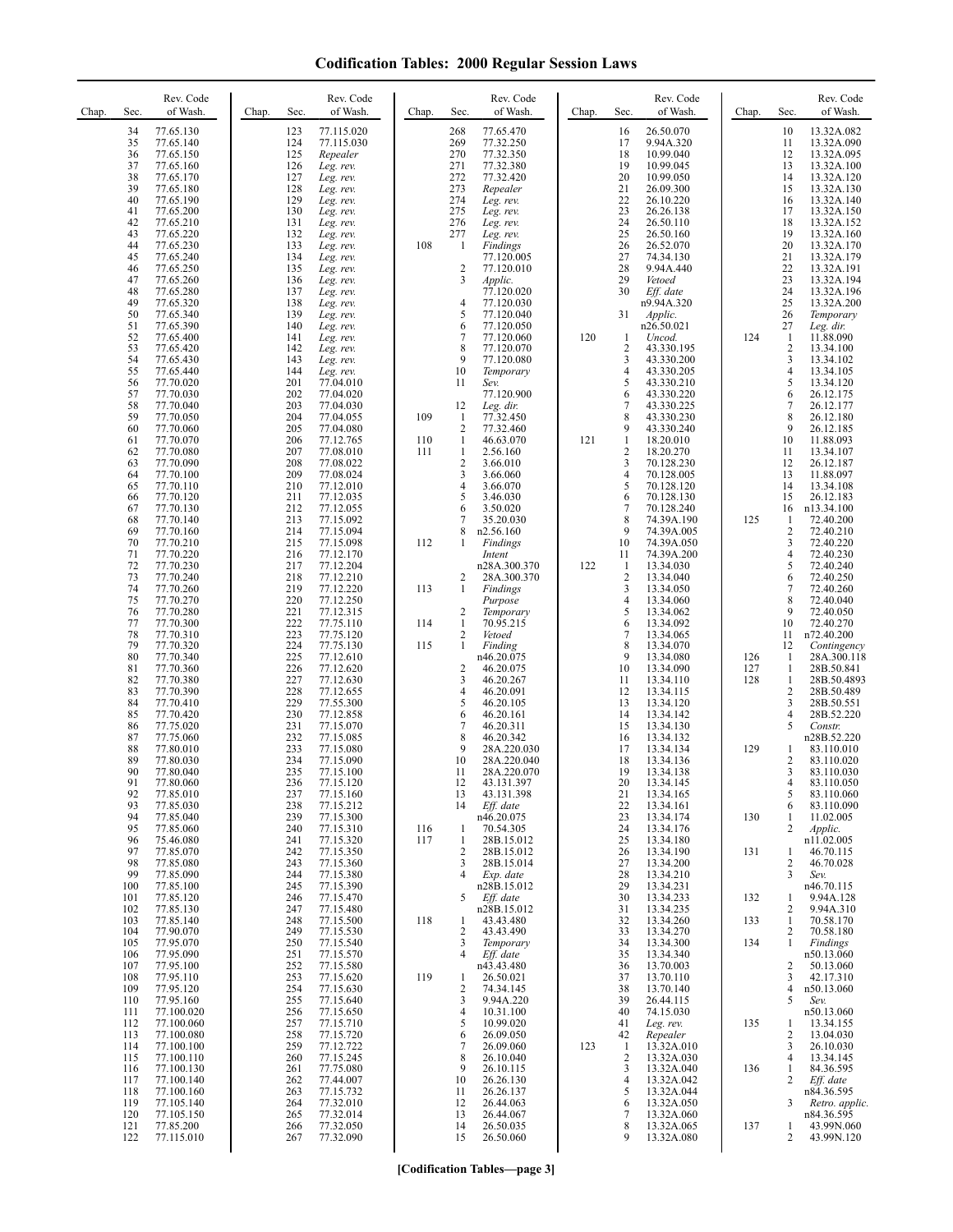| Chap. | Sec.           | Rev. Code<br>of Wash.               | Chap. | Sec.              | Rev. Code<br>of Wash.                | Chap.      | Sec.                         | Rev. Code<br>of Wash.               | Chap. | Sec.                       | Rev. Code<br>of Wash.               | Chap.      | Sec.                | Rev. Code<br>of Wash.                  |
|-------|----------------|-------------------------------------|-------|-------------------|--------------------------------------|------------|------------------------------|-------------------------------------|-------|----------------------------|-------------------------------------|------------|---------------------|----------------------------------------|
|       | 34<br>35<br>36 | 77.65.130<br>77.65.140<br>77.65.150 |       | 123<br>124<br>125 | 77.115.020<br>77.115.030<br>Repealer |            | 268<br>269<br>270            | 77.65.470<br>77.32.250<br>77.32.350 |       | 16<br>17<br>18             | 26.50.070<br>9.94A.320<br>10.99.040 |            | 10<br>11<br>12      | 13.32A.082<br>13.32A.090<br>13.32A.095 |
|       | 37             | 77.65.160                           |       | 126               | Leg. rev.                            |            | 271                          | 77.32.380                           |       | 19                         | 10.99.045                           |            | 13                  | 13.32A.100                             |
|       | 38<br>39       | 77.65.170<br>77.65.180              |       | 127<br>128        | Leg. rev.<br>Leg. rev.               |            | 272<br>273                   | 77.32.420<br>Repealer               |       | 20<br>21                   | 10.99.050<br>26.09.300              |            | 14<br>15            | 13.32A.120<br>13.32A.130               |
|       | 40<br>41       | 77.65.190<br>77.65.200              |       | 129<br>130        | Leg. rev.<br>Leg. rev.               |            | 274<br>275                   | Leg. rev.<br>Leg. rev.              |       | 22<br>23                   | 26.10.220<br>26.26.138              |            | 16<br>17            | 13.32A.140<br>13.32A.150               |
|       | 42             | 77.65.210                           |       | 131               | Leg. rev.                            |            | 276                          | Leg. rev.                           |       | 24                         | 26.50.110                           |            | 18                  | 13.32A.152                             |
|       | 43<br>44       | 77.65.220<br>77.65.230              |       | 132<br>133        | Leg. rev.<br>Leg. rev.               | 108        | 277<br>$\mathbf{1}$          | Leg. rev.<br>Findings               |       | 25<br>26                   | 26.50.160<br>26.52.070              |            | 19<br>20            | 13.32A.160<br>13.32A.170               |
|       | 45             | 77.65.240                           |       | 134               | Leg. rev.                            |            |                              | 77.120.005                          |       | 27                         | 74.34.130                           |            | 21                  | 13.32A.179                             |
|       | 46<br>47       | 77.65.250<br>77.65.260              |       | 135<br>136        | Leg. rev.<br>Leg. rev.               |            | $\sqrt{2}$<br>3              | 77.120.010<br>Applic.               |       | 28<br>29                   | 9.94A.440<br>Vetoed                 |            | 22<br>23            | 13.32A.191<br>13.32A.194               |
|       | 48<br>49       | 77.65.280<br>77.65.320              |       | 137<br>138        | Leg. rev.<br>Leg. rev.               |            | 4                            | 77.120.020<br>77.120.030            |       | 30                         | Eff. date<br>n9.94A.320             |            | 24<br>25            | 13.32A.196<br>13.32A.200               |
|       | 50             | 77.65.340                           |       | 139               | Leg. rev.                            |            | 5                            | 77.120.040                          |       | 31                         | Applic.                             |            | 26                  | Temporary                              |
|       | 51<br>52       | 77.65.390<br>77.65.400              |       | 140<br>141        | Leg. rev.<br>Leg. rev.               |            | 6<br>7                       | 77.120.050<br>77.120.060            | 120   | $\mathbf{1}$               | n26.50.021<br>Uncod.                | 124        | 27<br>$\mathbf{1}$  | Leg. dir.<br>11.88.090                 |
|       | 53<br>54       | 77.65.420<br>77.65.430              |       | 142<br>143        | Leg. rev.<br>Leg. rev.               |            | 8<br>9                       | 77.120.070<br>77.120.080            |       | $\overline{2}$<br>3        | 43.330.195<br>43.330.200            |            | $\overline{c}$<br>3 | 13.34.100<br>13.34.102                 |
|       | 55             | 77.65.440                           |       | 144               | Leg. rev.                            |            | 10                           | Temporary                           |       | 4                          | 43.330.205                          |            | 4                   | 13.34.105                              |
|       | 56<br>57       | 77.70.020<br>77.70.030              |       | 201<br>202        | 77.04.010<br>77.04.020               |            | 11                           | Sev.<br>77.120.900                  |       | 5<br>6                     | 43.330.210<br>43.330.220            |            | 5<br>6              | 13.34.120<br>26.12.175                 |
|       | 58             | 77.70.040                           |       | 203               | 77.04.030                            |            | 12                           | Leg. dir.                           |       | 7                          | 43.330.225<br>43.330.230            |            | 7                   | 26.12.177                              |
|       | 59<br>60       | 77.70.050<br>77.70.060              |       | 204<br>205        | 77.04.055<br>77.04.080               | 109        | 1<br>$\overline{\mathbf{c}}$ | 77.32.450<br>77.32.460              |       | 8<br>9                     | 43.330.240                          |            | 8<br>9              | 26.12.180<br>26.12.185                 |
|       | 61<br>62       | 77.70.070<br>77.70.080              |       | 206<br>207        | 77.12.765<br>77.08.010               | 110<br>111 | $\mathbf{1}$<br>1            | 46.63.070<br>2.56.160               | 121   | $\mathbf{1}$<br>$\sqrt{2}$ | 18.20.010<br>18.20.270              |            | 10<br>11            | 11.88.093<br>13.34.107                 |
|       | 63             | 77.70.090                           |       | 208               | 77.08.022                            |            | 2                            | 3.66.010                            |       | 3                          | 70.128.230                          |            | 12                  | 26.12.187                              |
|       | 64<br>65       | 77.70.100<br>77.70.110              |       | 209<br>210        | 77.08.024<br>77.12.010               |            | 3<br>4                       | 3.66.060<br>3.66.070                |       | $\overline{4}$<br>5        | 70.128.005<br>70.128.120            |            | 13<br>14            | 11.88.097<br>13.34.108                 |
|       | 66<br>67       | 77.70.120<br>77.70.130              |       | 211<br>212        | 77.12.035<br>77.12.055               |            | 5<br>6                       | 3.46.030<br>3.50.020                |       | 6<br>7                     | 70.128.130<br>70.128.240            |            | 15<br>16            | 26.12.183<br>n13.34.100                |
|       | 68             | 77.70.140                           |       | 213               | 77.15.092                            |            | 7                            | 35.20.030                           |       | 8                          | 74.39A.190                          | 125        | 1                   | 72.40.200                              |
|       | 69<br>70       | 77.70.160<br>77.70.210              |       | 214<br>215        | 77.15.094<br>77.15.098               | 112        | 8<br>1                       | n2.56.160<br>Findings               |       | 9<br>10                    | 74.39A.005<br>74.39A.050            |            | 2<br>3              | 72.40.210<br>72.40.220                 |
|       | 71<br>72       | 77.70.220<br>77.70.230              |       | 216<br>217        | 77.12.170<br>77.12.204               |            |                              | Intent<br>n28A.300.370              | 122   | 11<br>$\mathbf{1}$         | 74.39A.200<br>13.34.030             |            | 4<br>5              | 72.40.230<br>72.40.240                 |
|       | 73             | 77.70.240                           |       | 218               | 77.12.210                            |            | 2                            | 28A.300.370                         |       | $\sqrt{2}$                 | 13.34.040                           |            | 6                   | 72.40.250                              |
|       | 74<br>75       | 77.70.260<br>77.70.270              |       | 219<br>220        | 77.12.220<br>77.12.250               | 113        | 1                            | Findings<br>Purpose                 |       | 3<br>$\overline{4}$        | 13.34.050<br>13.34.060              |            | $\tau$<br>8         | 72.40.260<br>72.40.040                 |
|       | 76<br>77       | 77.70.280<br>77.70.300              |       | 221<br>222        | 77.12.315<br>77.75.110               | 114        | $\sqrt{2}$<br>$\mathbf{1}$   | Temporary<br>70.95.215              |       | 5<br>6                     | 13.34.062<br>13.34.092              |            | 9<br>10             | 72.40.050<br>72.40.270                 |
|       | 78             | 77.70.310                           |       | 223               | 77.75.120                            |            | 2                            | Vetoed                              |       | $\overline{7}$             | 13.34.065                           |            | 11                  | n72.40.200                             |
|       | 79<br>80       | 77.70.320<br>77.70.340              |       | 224<br>225        | 77.75.130<br>77.12.610               | 115        | $\mathbf{1}$                 | Finding<br>n46.20.075               |       | 8<br>9                     | 13.34.070<br>13.34.080              | 126        | 12<br>1             | Contingency<br>28A.300.118             |
|       | 81<br>82       | 77.70.360<br>77.70.380              |       | 226<br>227        | 77.12.620<br>77.12.630               |            | 2<br>3                       | 46.20.075<br>46.20.267              |       | 10<br>11                   | 13.34.090<br>13.34.110              | 127<br>128 | 1<br>$\mathbf{1}$   | 28B.50.841<br>28B.50.4893              |
|       | 83             | 77.70.390                           |       | 228               | 77.12.655                            |            | 4                            | 46.20.091                           |       | 12                         | 13.34.115                           |            | 2                   | 28B.50.489                             |
|       | 84<br>85       | 77.70.410<br>77.70.420              |       | 229<br>230        | 77.55.300<br>77.12.858               |            | 5<br>6                       | 46.20.105<br>46.20.161              |       | 13<br>14                   | 13.34.120<br>13.34.142              |            | 3<br>4              | 28B.50.551<br>28B.52.220               |
|       | 86<br>87       | 77.75.020<br>77.75.060              |       | 231<br>232        | 77.15.070<br>77.15.085               |            | 7<br>8                       | 46.20.311<br>46.20.342              |       | 15<br>16                   | 13.34.130<br>13.34.132              |            | 5                   | Constr.<br>n28B.52.220                 |
|       | 88             | 77.80.010                           |       | 233               | 77.15.080                            |            | 9                            | 28A.220.030                         |       | 17                         | 13.34.134                           | 129        | 1                   | 83.110.010                             |
|       | 89<br>90       | 77.80.030<br>77.80.040              |       | 234<br>235        | 77.15.090<br>77.15.100               |            | 10<br>11                     | 28A.220.040<br>28A.220.070          |       | 18<br>19                   | 13.34.136<br>13.34.138              |            | 2<br>3              | 83.110.020<br>83.110.030               |
|       | 91<br>92       | 77.80.060<br>77.85.010              |       | 236<br>237        | 77.15.120<br>77.15.160               |            | 12<br>13                     | 43.131.397<br>43.131.398            |       | 20<br>21                   | 13.34.145<br>13.34.165              |            | 4<br>5              | 85.110.050<br>83.110.060               |
|       | 93             | 77.85.030                           |       | 238               | 77.15.212                            |            | 14                           | Eff. date                           |       | 22                         | 13.34.161                           |            | 6                   | 83.110.090                             |
|       | 94<br>95       | 77.85.040<br>77.85.060              |       | 239<br>240        | 77.15.300<br>77.15.310               | 116        | 1                            | n46.20.075<br>70.54.305             |       | 23<br>24                   | 13.34.174<br>13.34.176              | 130        | 1<br>2              | 11.02.005<br>Applic.                   |
|       | 96<br>97       | 75.46.080<br>77.85.070              |       | 241<br>242        | 77.15.320<br>77.15.350               | 117        | 1<br>2                       | 28B.15.012<br>28B.15.012            |       | 25<br>26                   | 13.34.180<br>13.34.190              | 131        | 1                   | n11.02.005<br>46.70.115                |
|       | 98             | 77.85.080                           |       | 243               | 77.15.360                            |            | 3                            | 28B.15.014                          |       | 27                         | 13.34.200                           |            | 2                   | 46.70.028                              |
|       | 99<br>100      | 77.85.090<br>77.85.100              |       | 244<br>245        | 77.15.380<br>77.15.390               |            | 4                            | Exp. date<br>n28B.15.012            |       | 28<br>29                   | 13.34.210<br>13.34.231              |            | 3                   | Sev.<br>n46.70.115                     |
|       | 101<br>102     | 77.85.120<br>77.85.130              |       | 246<br>247        | 77.15.470<br>77.15.480               |            | 5                            | Eff. date<br>n28B.15.012            |       | 30<br>31                   | 13.34.233<br>13.34.235              | 132        | 1<br>2              | 9.94A.128<br>9.94A.310                 |
|       | 103            | 77.85.140                           |       | 248               | 77.15.500                            | 118        | 1                            | 43.43.480                           |       | 32                         | 13.34.260                           | 133        | $\mathbf{1}$        | 70.58.170                              |
|       | 104<br>105     | 77.90.070<br>77.95.070              |       | 249<br>250        | 77.15.530<br>77.15.540               |            | 2<br>3                       | 43.43.490<br>Temporary              |       | 33<br>34                   | 13.34.270<br>13.34.300              | 134        | 2<br>1              | 70.58.180<br>Findings                  |
|       | 106<br>107     | 77.95.090<br>77.95.100              |       | 251<br>252        | 77.15.570<br>77.15.580               |            | 4                            | Eff. date<br>n43.43.480             |       | 35<br>36                   | 13.34.340<br>13.70.003              |            | 2                   | n50.13.060<br>50.13.060                |
|       | 108            | 77.95.110                           |       | 253               | 77.15.620                            | 119        | 1                            | 26.50.021                           |       | 37                         | 13.70.110                           |            | 3                   | 42.17.310                              |
|       | 109<br>110     | 77.95.120<br>77.95.160              |       | 254<br>255        | 77.15.630<br>77.15.640               |            | 2<br>3                       | 74.34.145<br>9.94A.220              |       | 38<br>39                   | 13.70.140<br>26.44.115              |            | 4<br>5              | n50.13.060<br>Sev.                     |
|       | 111<br>112     | 77.100.020<br>77.100.060            |       | 256<br>257        | 77.15.650<br>77.15.710               |            | 4<br>5                       | 10.31.100<br>10.99.020              |       | 40<br>41                   | 74.15.030<br>Leg. rev.              | 135        | 1                   | n50.13.060<br>13.34.155                |
|       | 113            | 77.100.080                          |       | 258               | 77.15.720                            |            | 6                            | 26.09.050                           |       | 42                         | Repealer                            |            | 2                   | 13.04.030                              |
|       | 114<br>115     | 77.100.100<br>77.100.110            |       | 259<br>260        | 77.12.722<br>77.15.245               |            | 7<br>8                       | 26.09.060<br>26.10.040              | 123   | 1<br>2                     | 13.32A.010<br>13.32A.030            |            | 3<br>4              | 26.10.030<br>13.34.145                 |
|       | 116<br>117     | 77.100.130<br>77.100.140            |       | 261<br>262        | 77.75.080<br>77.44.007               |            | 9<br>10                      | 26.10.115<br>26.26.130              |       | 3<br>4                     | 13.32A.040<br>13.32A.042            | 136        | 1<br>2              | 84.36.595<br>Eff. date                 |
|       | 118            | 77.100.160                          |       | 263               | 77.15.732                            |            | 11                           | 26.26.137                           |       | 5                          | 13.32A.044                          |            |                     | n84.36.595                             |
|       | 119<br>120     | 77.105.140<br>77.105.150            |       | 264<br>265        | 77.32.010<br>77.32.014               |            | 12<br>13                     | 26.44.063<br>26.44.067              |       | 6<br>7                     | 13.32A.050<br>13.32A.060            |            | 3                   | Retro. applic.<br>n84.36.595           |
|       | 121<br>122     | 77.85.200<br>77.115.010             |       | 266<br>267        | 77.32.050<br>77.32.090               |            | 14<br>15                     | 26.50.035<br>26.50.060              |       | 8<br>9                     | 13.32A.065<br>13.32A.080            | 137        | 1<br>2              | 43.99N.060<br>43.99N.120               |
|       |                |                                     |       |                   |                                      |            |                              |                                     |       |                            |                                     |            |                     |                                        |

**[Codification Tables—page 3]**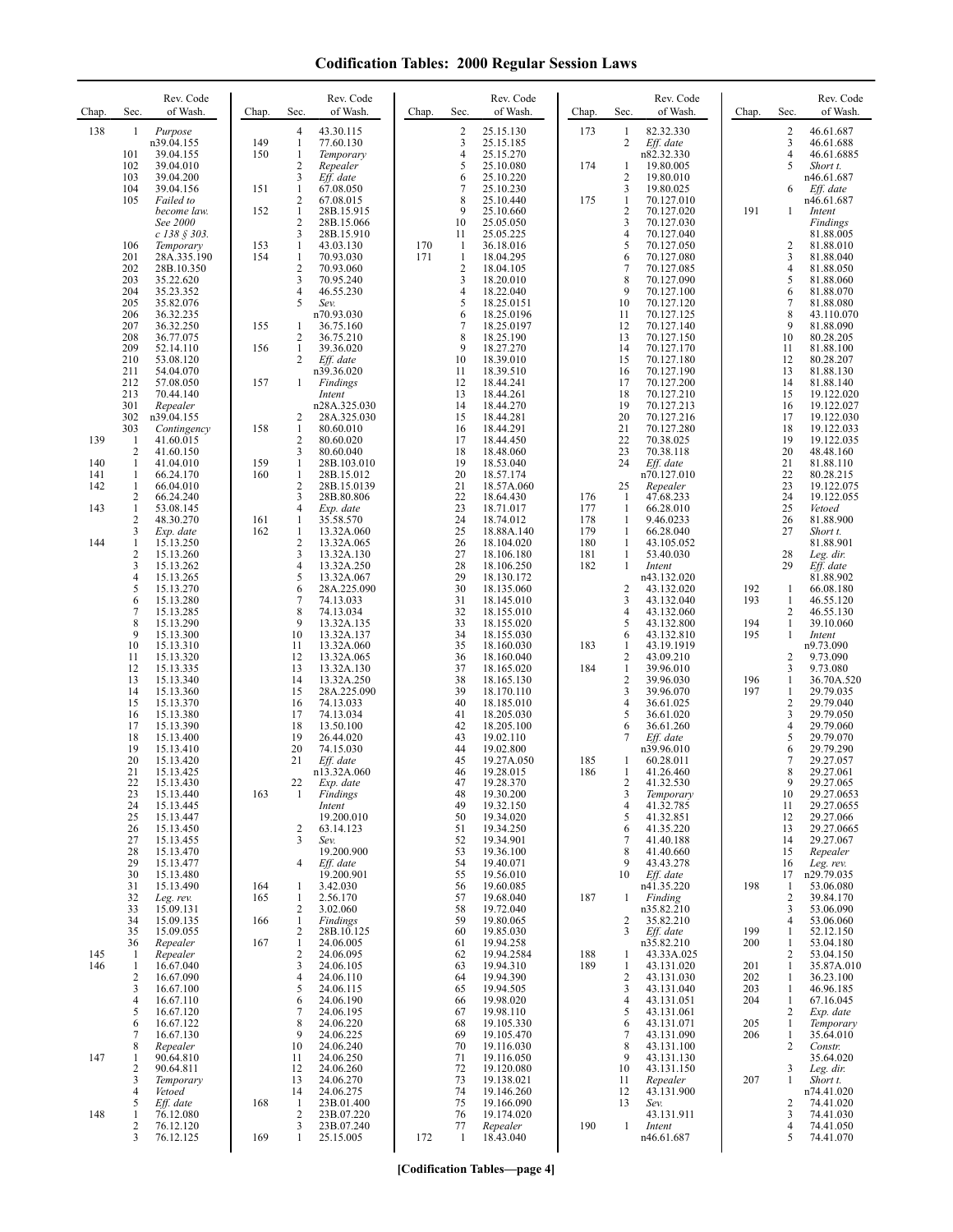| Chap.                    | Rev. Code<br>Sec.<br>of Wash.                                                                                                                                                                                                    | Chap.                    | Rev. Code<br>of Wash.<br>Sec.                                                                                                                                                                                                   | Chap.      | Sec.                                                                           | Rev. Code<br>of Wash.                                                                                                                                     | Chap.                                         | Rev. Code<br>Sec.<br>of Wash.                                                                                                                                                                                                                                 | Chap.                                  | Sec.                                                            | Rev. Code<br>of Wash.                                                                                                                                      |
|--------------------------|----------------------------------------------------------------------------------------------------------------------------------------------------------------------------------------------------------------------------------|--------------------------|---------------------------------------------------------------------------------------------------------------------------------------------------------------------------------------------------------------------------------|------------|--------------------------------------------------------------------------------|-----------------------------------------------------------------------------------------------------------------------------------------------------------|-----------------------------------------------|---------------------------------------------------------------------------------------------------------------------------------------------------------------------------------------------------------------------------------------------------------------|----------------------------------------|-----------------------------------------------------------------|------------------------------------------------------------------------------------------------------------------------------------------------------------|
| 138                      | Purpose<br>1<br>n39.04.155<br>101<br>39.04.155<br>102<br>39.04.010<br>103<br>39.04.200<br>104<br>39.04.156<br>105<br>Failed to<br>become law.                                                                                    | 149<br>150<br>151<br>152 | 4<br>43.30.115<br>$\mathbf{1}$<br>77.60.130<br>$\mathbf{1}$<br>Temporary<br>$\overline{\mathbf{c}}$<br>Repealer<br>3<br>Eff. date<br>$\mathbf{1}$<br>67.08.050<br>$\mathbf{2}$<br>67.08.015<br>$\mathbf{1}$<br>28B.15.915       |            | $\overline{2}$<br>3<br>4<br>5<br>6<br>7<br>8<br>9                              | 25.15.130<br>25.15.185<br>25.15.270<br>25.10.080<br>25.10.220<br>25.10.230<br>25.10.440<br>25.10.660                                                      | 173<br>174<br>175                             | 82.32.330<br>-1<br>2<br>Eff. date<br>n82.32.330<br>19.80.005<br>1<br>$\sqrt{2}$<br>19.80.010<br>3<br>19.80.025<br>$\mathbf{1}$<br>70.127.010<br>$\overline{c}$<br>70.127.020                                                                                  | 191                                    | 2<br>3<br>4<br>5<br>6<br>1                                      | 46.61.687<br>46.61.688<br>46.61.6885<br>Short t.<br>n46.61.687<br>Eff. date<br>n46.61.687<br>Intent                                                        |
|                          | See 2000<br>$c$ 138 § 303.<br>106<br>Temporary<br>201<br>28A.335.190<br>202<br>28B.10.350<br>203<br>35.22.620<br>204<br>35.23.352<br>205<br>35.82.076<br>206<br>36.32.235                                                        | 153<br>154               | $\overline{c}$<br>28B.15.066<br>3<br>28B.15.910<br>$\mathbf{1}$<br>43.03.130<br>$\mathbf{1}$<br>70.93.030<br>$\overline{2}$<br>70.93.060<br>3<br>70.95.240<br>$\overline{4}$<br>46.55.230<br>5<br>Sev.<br>n70.93.030            | 170<br>171 | 10<br>11<br>$\mathbf{1}$<br>$\mathbf{1}$<br>$\overline{c}$<br>3<br>4<br>5<br>6 | 25.05.050<br>25.05.225<br>36.18.016<br>18.04.295<br>18.04.105<br>18.20.010<br>18.22.040<br>18.25.0151<br>18.25.0196                                       |                                               | 3<br>70.127.030<br>$\overline{4}$<br>70.127.040<br>5<br>70.127.050<br>6<br>70.127.080<br>7<br>70.127.085<br>8<br>70.127.090<br>9<br>70.127.100<br>10<br>70.127.120<br>11<br>70.127.125                                                                        |                                        | 2<br>3<br>4<br>5<br>6<br>7<br>8                                 | Findings<br>81.88.005<br>81.88.010<br>81.88.040<br>81.88.050<br>81.88.060<br>81.88.070<br>81.88.080<br>43.110.070                                          |
|                          | 207<br>36.32.250<br>208<br>36.77.075<br>209<br>52.14.110<br>210<br>53.08.120<br>211<br>54.04.070<br>212<br>57.08.050<br>213<br>70.44.140<br>301<br>Repealer                                                                      | 155<br>156<br>157        | 36.75.160<br>1<br>2<br>36.75.210<br>39.36.020<br>1<br>2<br>Eff. date<br>n39.36.020<br>1<br>Findings<br>Intent<br>n28A.325.030                                                                                                   |            | 7<br>8<br>9<br>10<br>11<br>12<br>13<br>14                                      | 18.25.0197<br>18.25.190<br>18.27.270<br>18.39.010<br>18.39.510<br>18.44.241<br>18.44.261<br>18.44.270                                                     |                                               | 12<br>70.127.140<br>13<br>70.127.150<br>14<br>70.127.170<br>15<br>70.127.180<br>70.127.190<br>16<br>17<br>70.127.200<br>18<br>70.127.210<br>19<br>70.127.213                                                                                                  |                                        | 9<br>10<br>11<br>12<br>13<br>14<br>15<br>16                     | 81.88.090<br>80.28.205<br>81.88.100<br>80.28.207<br>81.88.130<br>81.88.140<br>19.122.020<br>19.122.027                                                     |
| 139<br>140<br>141<br>142 | 302<br>n39.04.155<br>303<br>Contingency<br>41.60.015<br>$\mathbf{1}$<br>$\sqrt{2}$<br>41.60.150<br>1<br>41.04.010<br>66.24.170<br>-1<br>$\mathbf{1}$<br>66.04.010                                                                | 158<br>159<br>160        | 2<br>28A.325.030<br>1<br>80.60.010<br>$\overline{c}$<br>80.60.020<br>3<br>80.60.040<br>$\mathbf{1}$<br>28B.103.010<br>$\mathbf{1}$<br>28B.15.012<br>2<br>28B.15.0139                                                            |            | 15<br>16<br>17<br>18<br>19<br>20<br>21                                         | 18.44.281<br>18.44.291<br>18.44.450<br>18.48.060<br>18.53.040<br>18.57.174<br>18.57A.060                                                                  |                                               | 20<br>70.127.216<br>21<br>70.127.280<br>22<br>70.38.025<br>23<br>70.38.118<br>24<br>Eff. date<br>n70.127.010<br>25<br>Repealer                                                                                                                                |                                        | 17<br>18<br>19<br>20<br>21<br>22<br>23                          | 19.122.030<br>19.122.033<br>19.122.035<br>48.48.160<br>81.88.110<br>80.28.215<br>19.122.075                                                                |
| 143<br>144               | 2<br>66.24.240<br>$\mathbf{1}$<br>53.08.145<br>2<br>48.30.270<br>3<br>Exp. date<br>1<br>15.13.250<br>$\overline{\mathbf{c}}$<br>15.13.260<br>3<br>15.13.262<br>15.13.265<br>4<br>5<br>15.13.270<br>15.13.280<br>6                | 161<br>162               | 3<br>28B.80.806<br>$\overline{4}$<br>Exp. date<br>1<br>35.58.570<br>1<br>13.32A.060<br>$\overline{c}$<br>13.32A.065<br>3<br>13.32A.130<br>$\overline{4}$<br>13.32A.250<br>5<br>13.32A.067<br>6<br>28A.225.090<br>7<br>74.13.033 |            | 22<br>23<br>24<br>25<br>26<br>27<br>28<br>29<br>30<br>31                       | 18.64.430<br>18.71.017<br>18.74.012<br>18.88A.140<br>18.104.020<br>18.106.180<br>18.106.250<br>18.130.172<br>18.135.060<br>18.145.010                     | 176<br>177<br>178<br>179<br>180<br>181<br>182 | 47.68.233<br>-1<br>-1<br>66.28.010<br>-1<br>9.46.0233<br>$\mathbf{1}$<br>66.28.040<br>-1<br>43.105.052<br>$\mathbf{1}$<br>53.40.030<br>1<br>Intent<br>n43.132.020<br>$\overline{2}$<br>43.132.020<br>3<br>43.132.040                                          | 192<br>193                             | 24<br>25<br>26<br>27<br>28<br>29<br>1<br>1                      | 19.122.055<br>Vetoed<br>81.88.900<br>Short t.<br>81.88.901<br>Leg. dir.<br>Eff. date<br>81.88.902<br>66.08.180<br>46.55.120                                |
|                          | 7<br>15.13.285<br>8<br>15.13.290<br>9<br>15.13.300<br>10<br>15.13.310<br>11<br>15.13.320<br>12<br>15.13.335<br>13<br>15.13.340<br>14<br>15.13.360<br>15<br>15.13.370<br>16<br>15.13.380<br>17<br>15.13.390                       |                          | 8<br>74.13.034<br>9<br>13.32A.135<br>10<br>13.32A.137<br>13.32A.060<br>11<br>12<br>13.32A.065<br>13<br>13.32A.130<br>14<br>13.32A.250<br>15<br>28A.225.090<br>74.13.033<br>16<br>17<br>74.13.034<br>18<br>13.50.100             |            | 32<br>33<br>34<br>35<br>36<br>37<br>38<br>39<br>40<br>41<br>42                 | 18.155.010<br>18.155.020<br>18.155.030<br>18.160.030<br>18.160.040<br>18.165.020<br>18.165.130<br>18.170.110<br>18.185.010<br>18.205.030<br>18.205.100    | 183<br>184                                    | $\overline{4}$<br>43.132.060<br>43.132.800<br>5<br>43.132.810<br>6<br>43.19.1919<br>1<br>$\sqrt{2}$<br>43.09.210<br>$\mathbf{1}$<br>39.96.010<br>$\sqrt{2}$<br>39.96.030<br>3<br>39.96.070<br>36.61.025<br>$\overline{4}$<br>5<br>36.61.020<br>36.61.260<br>6 | 194<br>195<br>196<br>197               | 2<br>1<br>1<br>2<br>3<br>1<br>1<br>2<br>3<br>4                  | 46.55.130<br>39.10.060<br>Intent<br>n9.73.090<br>9.73.090<br>9.73.080<br>36.70A.520<br>29.79.035<br>29.79.040<br>29.79.050<br>29.79.060                    |
|                          | 18<br>15.13.400<br>19<br>15.13.410<br>20<br>15.13.420<br>21<br>15.13.425<br>22<br>15.13.430<br>23<br>15.13.440<br>24<br>15.13.445<br>25<br>15.13.447<br>15.13.450<br>26<br>27<br>15.13.455<br>28<br>15.13.470<br>29<br>15.13.477 | 163                      | 19<br>26.44.020<br>20<br>74.15.030<br>21<br>Eff. date<br>n13.32A.060<br>22<br>Exp. date<br>1<br>Findings<br>Intent<br>19.200.010<br>$\overline{c}$<br>63.14.123<br>3<br>Sev.<br>19.200.900<br>Eff. date<br>4                    |            | 43<br>44<br>45<br>46<br>47<br>48<br>49<br>50<br>51<br>52<br>53<br>54           | 19.02.110<br>19.02.800<br>19.27A.050<br>19.28.015<br>19.28.370<br>19.30.200<br>19.32.150<br>19.34.020<br>19.34.250<br>19.34.901<br>19.36.100<br>19.40.071 | 185<br>186                                    | $Eff.$ date<br>n39.96.010<br>1<br>60.28.011<br>41.26.460<br>1<br>41.32.530<br>2<br>$\mathfrak{Z}$<br>Temporary<br>41.32.785<br>$\overline{4}$<br>5<br>41.32.851<br>41.35.220<br>6<br>7<br>41.40.188<br>8<br>41.40.660<br>9<br>43.43.278                       |                                        | 5<br>6<br>7<br>8<br>9<br>10<br>11<br>12<br>13<br>14<br>15<br>16 | 29.79.070<br>29.79.290<br>29.27.057<br>29.27.061<br>29.27.065<br>29.27.0653<br>29.27.0655<br>29.27.066<br>29.27.0665<br>29.27.067<br>Repealer<br>Leg. rev. |
|                          | 30<br>15.13.480<br>31<br>15.13.490<br>32<br>Leg. rev.<br>33<br>15.09.131<br>34<br>15.09.135<br>15.09.055<br>35<br>36<br>Repealer                                                                                                 | 164<br>165<br>166<br>167 | 19.200.901<br>3.42.030<br>1<br>2.56.170<br>1<br>$\overline{c}$<br>3.02.060<br>1<br>Findings<br>2<br>28B.10.125<br>24.06.005<br>1                                                                                                |            | 55<br>56<br>57<br>58<br>59<br>60<br>61                                         | 19.56.010<br>19.60.085<br>19.68.040<br>19.72.040<br>19.80.065<br>19.85.030<br>19.94.258                                                                   | 187                                           | Eff. date<br>10<br>n41.35.220<br>Finding<br>-1<br>n35.82.210<br>2<br>35.82.210<br>Eff. date<br>3<br>n35.82.210                                                                                                                                                | 198<br>199<br>200                      | 17<br>$\mathbf{1}$<br>2<br>3<br>4<br>1<br>1                     | n29.79.035<br>53.06.080<br>39.84.170<br>53.06.090<br>53.06.060<br>52.12.150<br>53.04.180                                                                   |
| 145<br>146               | Repealer<br>$\mathbf{1}$<br>16.67.040<br>$\mathbf{1}$<br>2<br>16.67.090<br>3<br>16.67.100<br>4<br>16.67.110<br>5<br>16.67.120<br>16.67.122<br>6<br>16.67.130<br>7                                                                |                          | 2<br>24.06.095<br>3<br>24.06.105<br>4<br>24.06.110<br>5<br>24.06.115<br>6<br>24.06.190<br>7<br>24.06.195<br>8<br>24.06.220<br>9<br>24.06.225                                                                                    |            | 62<br>63<br>64<br>65<br>66<br>67<br>68<br>69                                   | 19.94.2584<br>19.94.310<br>19.94.390<br>19.94.505<br>19.98.020<br>19.98.110<br>19.105.330<br>19.105.470                                                   | 188<br>189                                    | 43.33A.025<br>1<br>1<br>43.131.020<br>$\overline{2}$<br>43.131.030<br>3<br>43.131.040<br>43.131.051<br>4<br>5<br>43.131.061<br>43.131.071<br>6<br>7<br>43.131.090                                                                                             | 201<br>202<br>203<br>204<br>205<br>206 | 2<br>1<br>1<br>1<br>1<br>2<br>1<br>1                            | 53.04.150<br>35.87A.010<br>36.23.100<br>46.96.185<br>67.16.045<br>Exp. date<br>Temporary<br>35.64.010                                                      |
| 147                      | 8<br>Repealer<br>90.64.810<br>1<br>90.64.811<br>2<br>3<br>Temporary<br>4<br>Vetoed                                                                                                                                               |                          | 10<br>24.06.240<br>24.06.250<br>11<br>12<br>24.06.260<br>24.06.270<br>13<br>14<br>24.06.275                                                                                                                                     |            | 70<br>71<br>72<br>73<br>74                                                     | 19.116.030<br>19.116.050<br>19.120.080<br>19.138.021<br>19.146.260                                                                                        |                                               | 8<br>43.131.100<br>43.131.130<br>9<br>10<br>43.131.150<br>11<br>Repealer<br>12<br>43.131.900                                                                                                                                                                  | 207                                    | 2<br>3<br>1                                                     | Constr.<br>35.64.020<br>Leg. dir.<br>Short t.<br>n74.41.020                                                                                                |
| 148                      | Eff. date<br>5<br>76.12.080<br>1<br>76.12.120<br>2<br>3<br>76.12.125                                                                                                                                                             | 168<br>169               | 23B.01.400<br>1<br>$\sqrt{2}$<br>23B.07.220<br>3<br>23B.07.240<br>1<br>25.15.005                                                                                                                                                | 172        | 75<br>76<br>77<br>$\mathbf{1}$                                                 | 19.166.090<br>19.174.020<br>Repealer<br>18.43.040                                                                                                         | 190                                           | 13<br>Sev.<br>43.131.911<br>-1<br>Intent<br>n46.61.687                                                                                                                                                                                                        |                                        | 2<br>3<br>4<br>5                                                | 74.41.020<br>74.41.030<br>74.41.050<br>74.41.070                                                                                                           |

**[Codification Tables—page 4]**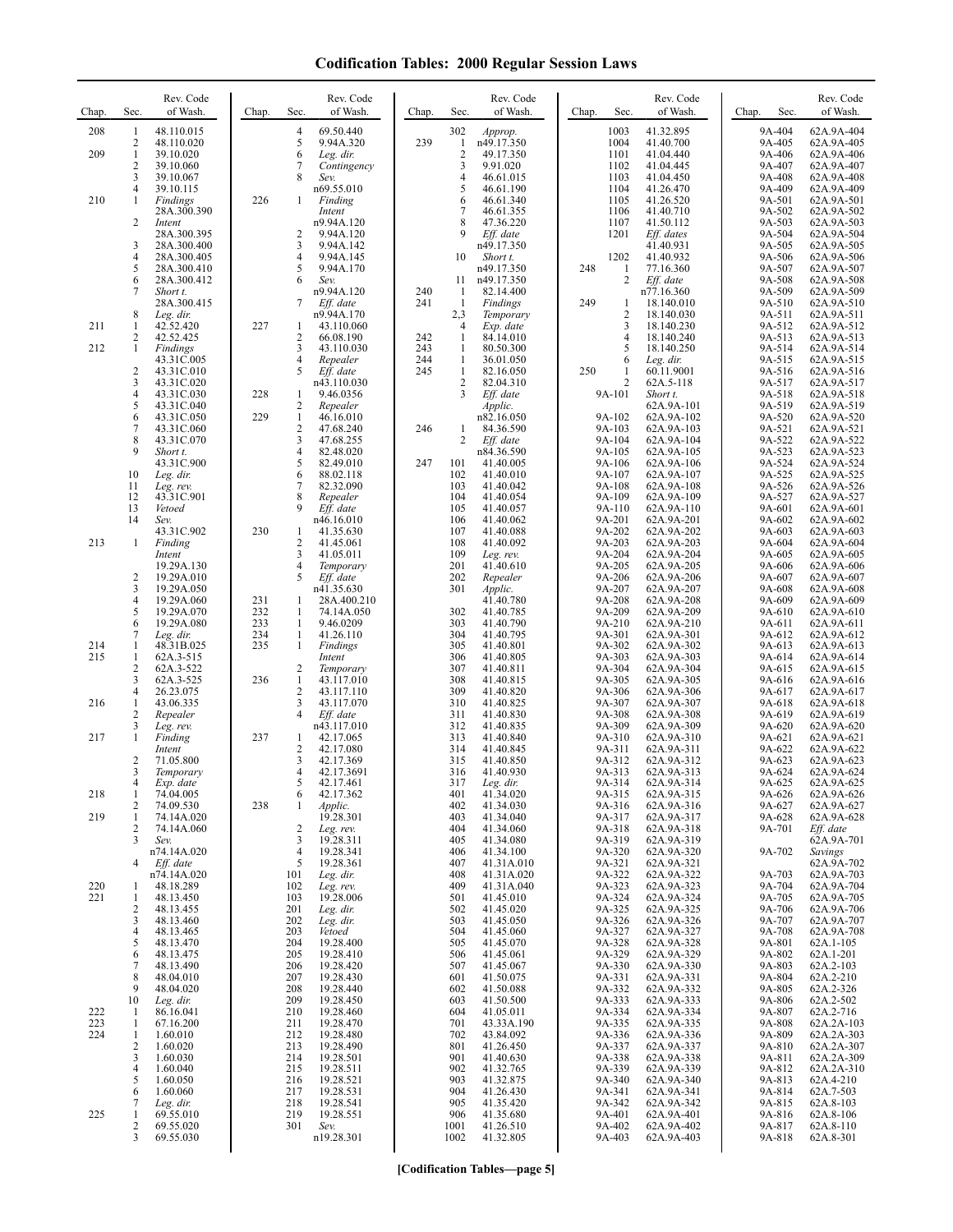| Chap.      | Sec.                           | Rev. Code<br>of Wash.      | Chap.      | Rev. Code<br>of Wash.<br>Sec.                             | Chap.      | Rev. Code<br>Sec.<br>of Wash.                | Sec.<br>Chap.               | Rev. Code<br>of Wash.    | Chap.<br>Sec.    | Rev. Code<br>of Wash.    |
|------------|--------------------------------|----------------------------|------------|-----------------------------------------------------------|------------|----------------------------------------------|-----------------------------|--------------------------|------------------|--------------------------|
| 208        | 1<br>2                         | 48.110.015<br>48.110.020   |            | $\overline{4}$<br>69.50.440<br>5<br>9.94A.320             | 239        | 302<br>Approp.<br>n49.17.350<br>1            | 1003<br>1004                | 41.32.895<br>41.40.700   | 9A-404<br>9A-405 | 62A.9A-404<br>62A.9A-405 |
| 209        | $\mathbf{1}$                   | 39.10.020                  |            | 6<br>Leg. dir.                                            |            | 2<br>49.17.350                               | 1101                        | 41.04.440                | 9A-406           | 62A.9A-406               |
|            | $\overline{c}$<br>3            | 39.10.060<br>39.10.067     |            | 7<br>Contingency<br>8<br>Sev.                             |            | 9.91.020<br>3<br>4<br>46.61.015              | 1102<br>1103                | 41.04.445<br>41.04.450   | 9A-407<br>9A-408 | 62A.9A-407<br>62A.9A-408 |
| 210        | 4<br>1                         | 39.10.115<br>Findings      | 226        | n69.55.010<br>$\mathbf{1}$<br>Finding                     |            | 5<br>46.61.190<br>6<br>46.61.340             | 1104<br>1105                | 41.26.470<br>41.26.520   | 9A-409<br>9A-501 | 62A.9A-409<br>62A.9A-501 |
|            | $\overline{c}$                 | 28A.300.390<br>Intent      |            | Intent<br>n9.94A.120                                      |            | 7<br>46.61.355<br>8<br>47.36.220             | 1106<br>1107                | 41.40.710<br>41.50.112   | 9A-502<br>9A-503 | 62A.9A-502<br>62A.9A-503 |
|            |                                | 28A.300.395                |            | $\overline{2}$<br>9.94A.120                               |            | 9<br>Eff. date                               | 1201                        | Eff. dates               | 9A-504           | 62A.9A-504               |
|            | 3<br>4                         | 28A.300.400<br>28A.300.405 |            | 3<br>9.94A.142<br>$\overline{4}$<br>9.94A.145             |            | n49.17.350<br>10<br>Short t.                 | 1202                        | 41.40.931<br>41.40.932   | 9A-505<br>9A-506 | 62A.9A-505<br>62A.9A-506 |
|            | 5<br>6                         | 28A.300.410<br>28A.300.412 |            | 5<br>9.94A.170<br>6<br>Sev.                               |            | n49.17.350<br>11<br>n49.17.350               | 248<br>$\mathbf{1}$<br>2    | 77.16.360<br>Eff. date   | 9A-507<br>9A-508 | 62A.9A-507<br>62A.9A-508 |
|            | 7                              | Short t.                   |            | n9.94A.120                                                | 240        | 82.14.400<br>-1                              |                             | n77.16.360               | 9A-509           | 62A.9A-509               |
|            | 8                              | 28A.300.415<br>Leg. dir.   |            | 7<br>Eff. date<br>n9.94A.170                              | 241        | $\mathbf{1}$<br>Findings<br>2,3<br>Temporary | 249<br>-1<br>$\overline{c}$ | 18.140.010<br>18.140.030 | 9A-510<br>9A-511 | 62A.9A-510<br>62A.9A-511 |
| 211        | 1<br>2                         | 42.52.420<br>42.52.425     | 227        | 43.110.060<br>1<br>$\sqrt{2}$<br>66.08.190                | 242        | Exp. date<br>4<br>1<br>84.14.010             | 3<br>$\overline{4}$         | 18.140.230<br>18.140.240 | 9A-512<br>9A-513 | 62A.9A-512<br>62A.9A-513 |
| 212        | 1                              | Findings<br>43.31C.005     |            | 3<br>43.110.030<br>$\overline{4}$<br>Repealer             | 243<br>244 | 80.50.300<br>1<br>$\mathbf{1}$<br>36.01.050  | 5<br>6                      | 18.140.250<br>Leg. dir.  | 9A-514<br>9A-515 | 62A.9A-514<br>62A.9A-515 |
|            | $\overline{c}$                 | 43.31C.010                 |            | 5<br>Eff. date                                            | 245        | 82.16.050<br>$\mathbf{1}$                    | 250<br>-1                   | 60.11.9001               | 9A-516           | 62A.9A-516               |
|            | 3<br>4                         | 43.31C.020<br>43.31C.030   | 228        | n43.110.030<br>9.46.0356<br>$\mathbf{1}$                  |            | 2<br>82.04.310<br>3<br>Eff. date             | $\overline{2}$<br>9A-101    | 62A.5-118<br>Short t.    | 9A-517<br>9A-518 | 62A.9A-517<br>62A.9A-518 |
|            | 5<br>6                         | 43.31C.040<br>43.31C.050   | 229        | $\overline{c}$<br>Repealer<br>$\mathbf{1}$<br>46.16.010   |            | Applic.<br>n82.16.050                        | 9A-102                      | 62A.9A-101<br>62A.9A-102 | 9A-519<br>9A-520 | 62A.9A-519<br>62A.9A-520 |
|            | $\boldsymbol{7}$<br>8          | 43.31C.060<br>43.31C.070   |            | $\sqrt{2}$<br>47.68.240<br>3<br>47.68.255                 | 246        | 84.36.590<br>1<br>2<br>Eff. date             | 9A-103<br>9A-104            | 62A.9A-103<br>62A.9A-104 | 9A-521<br>9A-522 | 62A.9A-521<br>62A.9A-522 |
|            | 9                              | Short t.                   |            | $\overline{4}$<br>82.48.020                               |            | n84.36.590                                   | 9A-105                      | 62A.9A-105               | 9A-523           | 62A.9A-523               |
|            | 10                             | 43.31C.900<br>Leg. dir.    |            | 5<br>82.49.010<br>6<br>88.02.118                          | 247        | 101<br>41.40.005<br>102<br>41.40.010         | 9A-106<br>9A-107            | 62A.9A-106<br>62A.9A-107 | 9A-524<br>9A-525 | 62A.9A-524<br>62A.9A-525 |
|            | 11<br>12                       | Leg. rev.<br>43.31C.901    |            | 7<br>82.32.090<br>8<br>Repealer                           |            | 103<br>41.40.042<br>104<br>41.40.054         | 9A-108<br>9A-109            | 62A.9A-108<br>62A.9A-109 | 9A-526<br>9A-527 | 62A.9A-526<br>62A.9A-527 |
|            | 13<br>14                       | Vetoed<br>Sev.             |            | 9<br>Eff. date<br>n46.16.010                              |            | 105<br>41.40.057<br>106<br>41.40.062         | 9A-110<br>9A-201            | 62A.9A-110<br>62A.9A-201 | 9A-601<br>9A-602 | 62A.9A-601<br>62A.9A-602 |
| 213        | 1                              | 43.31C.902<br>Finding      | 230        | 41.35.630<br>1<br>$\overline{2}$<br>41.45.061             |            | 107<br>41.40.088<br>108<br>41.40.092         | 9A-202<br>9A-203            | 62A.9A-202<br>62A.9A-203 | 9A-603<br>9A-604 | 62A.9A-603<br>62A.9A-604 |
|            |                                | Intent                     |            | 3<br>41.05.011                                            |            | 109<br>Leg. rev.                             | 9A-204                      | 62A.9A-204               | 9A-605           | 62A.9A-605               |
|            | $\overline{\mathbf{c}}$        | 19.29A.130<br>19.29A.010   |            | 4<br>Temporary<br>5<br>Eff. date                          |            | 201<br>41.40.610<br>202<br>Repealer          | 9A-205<br>9A-206            | 62A.9A-205<br>62A.9A-206 | 9A-606<br>9A-607 | 62A.9A-606<br>62A.9A-607 |
|            | 3<br>4                         | 19.29A.050<br>19.29A.060   | 231        | n41.35.630<br>$\mathbf{1}$<br>28A.400.210                 |            | 301<br>Applic.<br>41.40.780                  | 9A-207<br>9A-208            | 62A.9A-207<br>62A.9A-208 | 9A-608<br>9A-609 | 62A.9A-608<br>62A.9A-609 |
|            | 5<br>6                         | 19.29A.070<br>19.29A.080   | 232<br>233 | 1<br>74.14A.050<br>1<br>9.46.0209                         |            | 302<br>41.40.785<br>303<br>41.40.790         | 9A-209<br>9A-210            | 62A.9A-209<br>62A.9A-210 | 9A-610<br>9A-611 | 62A.9A-610<br>62A.9A-611 |
|            | 7                              | Leg. dir.                  | 234        | $\mathbf{1}$<br>41.26.110<br>$\mathbf{1}$                 |            | 304<br>41.40.795                             | 9A-301                      | 62A.9A-301               | 9A-612           | 62A.9A-612               |
| 214<br>215 | 1<br>1                         | 48.31B.025<br>62A.3-515    | 235        | Findings<br>Intent                                        |            | 305<br>41.40.801<br>306<br>41.40.805         | 9A-302<br>9A-303            | 62A.9A-302<br>62A.9A-303 | 9A-613<br>9A-614 | 62A.9A-613<br>62A.9A-614 |
|            | $\overline{c}$<br>3            | 62A.3-522<br>62A.3-525     | 236        | $\overline{2}$<br>Temporary<br>$\mathbf{1}$<br>43.117.010 |            | 307<br>41.40.811<br>308<br>41.40.815         | 9A-304<br>9A-305            | 62A.9A-304<br>62A.9A-305 | 9A-615<br>9A-616 | 62A.9A-615<br>62A.9A-616 |
| 216        | $\overline{4}$<br>$\mathbf{1}$ | 26.23.075<br>43.06.335     |            | $\overline{2}$<br>43.117.110<br>3<br>43.117.070           |            | 309<br>41.40.820<br>310<br>41.40.825         | 9A-306<br>9A-307            | 62A.9A-306<br>62A.9A-307 | 9A-617<br>9A-618 | 62A.9A-617<br>62A.9A-618 |
|            | 2<br>3                         | Repealer<br>Leg. rev.      |            | $\overline{4}$<br>Eff. date<br>n43.117.010                |            | 311<br>41.40.830<br>312<br>41.40.835         | 9A-308<br>9A-309            | 62A.9A-308<br>62A.9A-309 | 9A-619<br>9A-620 | 62A.9A-619<br>62A.9A-620 |
| 217        | $\mathbf{1}$                   | Finding                    | 237        | 42.17.065<br>1                                            |            | 313<br>41.40.840                             | 9A-310                      | 62A.9A-310               | 9A-621           | 62A.9A-621               |
|            | $\overline{c}$                 | Intent<br>71.05.800        |            | $\overline{c}$<br>42.17.080<br>3<br>42.17.369             |            | 314<br>41.40.845<br>315<br>41.40.850         | 9A-311<br>9A-312            | 62A.9A-311<br>62A.9A-312 | 9A-622<br>9A-623 | 62A.9A-622<br>62A.9A-623 |
|            | 3<br>4                         | Temporary<br>Exp. date     |            | 4<br>42.17.3691<br>5<br>42.17.461                         |            | 316<br>41.40.930<br>317<br>Leg. dir.         | 9A-313<br>9A-314            | 62A.9A-313<br>62A.9A-314 | 9A-624<br>9A-625 | 62A.9A-624<br>62A.9A-625 |
| 218        | 1<br>2                         | 74.04.005<br>74.09.530     | 238        | 6<br>42.17.362<br>Applic.<br>1                            |            | 41.34.020<br>401<br>402<br>41.34.030         | 9A-315<br>9A-316            | 62A.9A-315<br>62A.9A-316 | 9A-626<br>9A-627 | 62A.9A-626<br>62A.9A-627 |
| 219        | 1<br>2                         | 74.14A.020<br>74.14A.060   |            | 19.28.301<br>2<br>Leg. rev.                               |            | 403<br>41.34.040<br>41.34.060<br>404         | 9A-317<br>9A-318            | 62A.9A-317<br>62A.9A-318 | 9A-628<br>9A-701 | 62A.9A-628<br>Eff. date  |
|            | 3                              | Sev.                       |            | 19.28.311<br>3<br>4                                       |            | 405<br>41.34.080                             | 9A-319                      | 62A.9A-319               |                  | 62A.9A-701               |
|            | 4                              | n74.14A.020<br>Eff. date   |            | 19.28.341<br>5<br>19.28.361                               |            | 41.34.100<br>406<br>407<br>41.31A.010        | 9A-320<br>9A-321            | 62A.9A-320<br>62A.9A-321 | 9A-702           | Savings<br>62A.9A-702    |
| 220        | 1                              | n74.14A.020<br>48.18.289   |            | 101<br>Leg. dir.<br>102<br>Leg. rev.                      |            | 41.31A.020<br>408<br>409<br>41.31A.040       | 9A-322<br>9A-323            | 62A.9A-322<br>62A.9A-323 | 9A-703<br>9A-704 | 62A.9A-703<br>62A.9A-704 |
| 221        | 1<br>2                         | 48.13.450<br>48.13.455     |            | 103<br>19.28.006<br>201<br>Leg. dir.                      |            | 501<br>41.45.010<br>41.45.020<br>502         | 9A-324<br>9A-325            | 62A.9A-324<br>62A.9A-325 | 9A-705<br>9A-706 | 62A.9A-705<br>62A.9A-706 |
|            | 3<br>4                         | 48.13.460<br>48.13.465     |            | 202<br>Leg. dir.<br>203<br>Vetoed                         |            | 503<br>41.45.050<br>504<br>41.45.060         | 9A-326<br>9A-327            | 62A.9A-326<br>62A.9A-327 | 9A-707<br>9A-708 | 62A.9A-707<br>62A.9A-708 |
|            | 5                              | 48.13.470                  |            | 204<br>19.28.400                                          |            | 41.45.070<br>505                             | 9A-328                      | 62A.9A-328               | 9A-801           | 62A.1-105                |
|            | 6<br>7                         | 48.13.475<br>48.13.490     |            | 205<br>19.28.410<br>206<br>19.28.420                      |            | 506<br>41.45.061<br>507<br>41.45.067         | 9A-329<br>9A-330            | 62A.9A-329<br>62A.9A-330 | 9A-802<br>9A-803 | 62A.1-201<br>62A.2-103   |
|            | 8<br>9                         | 48.04.010<br>48.04.020     |            | 207<br>19.28.430<br>208<br>19.28.440                      |            | 41.50.075<br>601<br>602<br>41.50.088         | 9A-331<br>9A-332            | 62A.9A-331<br>62A.9A-332 | 9A-804<br>9A-805 | 62A.2-210<br>62A.2-326   |
| 222        | 10<br>1                        | Leg. dir.<br>86.16.041     |            | 209<br>19.28.450<br>210<br>19.28.460                      |            | 41.50.500<br>603<br>41.05.011<br>604         | 9A-333<br>9A-334            | 62A.9A-333<br>62A.9A-334 | 9A-806<br>9A-807 | 62A.2-502<br>62A.2-716   |
| 223<br>224 | 1<br>1                         | 67.16.200<br>1.60.010      |            | 211<br>19.28.470<br>212<br>19.28.480                      |            | 701<br>43.33A.190<br>702<br>43.84.092        | 9A-335<br>9A-336            | 62A.9A-335<br>62A.9A-336 | 9A-808<br>9A-809 | 62A.2A-103<br>62A.2A-303 |
|            | $\overline{c}$                 | 1.60.020                   |            | 213<br>19.28.490                                          |            | 801<br>41.26.450                             | 9A-337                      | 62A.9A-337               | 9A-810           | 62A.2A-307               |
|            | 3<br>$\overline{4}$            | 1.60.030<br>1.60.040       |            | 214<br>19.28.501<br>215<br>19.28.511                      |            | 901<br>41.40.630<br>902<br>41.32.765         | 9A-338<br>9A-339            | 62A.9A-338<br>62A.9A-339 | 9A-811<br>9A-812 | 62A.2A-309<br>62A.2A-310 |
|            | 5<br>6                         | 1.60.050<br>1.60.060       |            | 216<br>19.28.521<br>217<br>19.28.531                      |            | 41.32.875<br>903<br>904<br>41.26.430         | 9A-340<br>9A-341            | 62A.9A-340<br>62A.9A-341 | 9A-813<br>9A-814 | 62A.4-210<br>62A.7-503   |
| 225        | 7<br>1                         | Leg. dir.<br>69.55.010     |            | 218<br>19.28.541<br>219<br>19.28.551                      |            | 905<br>41.35.420<br>906<br>41.35.680         | 9A-342<br>9A-401            | 62A.9A-342<br>62A.9A-401 | 9A-815<br>9A-816 | 62A.8-103<br>62A.8-106   |
|            | 2<br>3                         | 69.55.020<br>69.55.030     |            | 301<br>Sev.                                               |            | 1001<br>41.26.510<br>41.32.805<br>1002       | 9A-402<br>9A-403            | 62A.9A-402<br>62A.9A-403 | 9A-817<br>9A-818 | 62A.8-110                |
|            |                                |                            |            | n19.28.301                                                |            |                                              |                             |                          |                  | 62A.8-301                |

**[Codification Tables—page 5]**